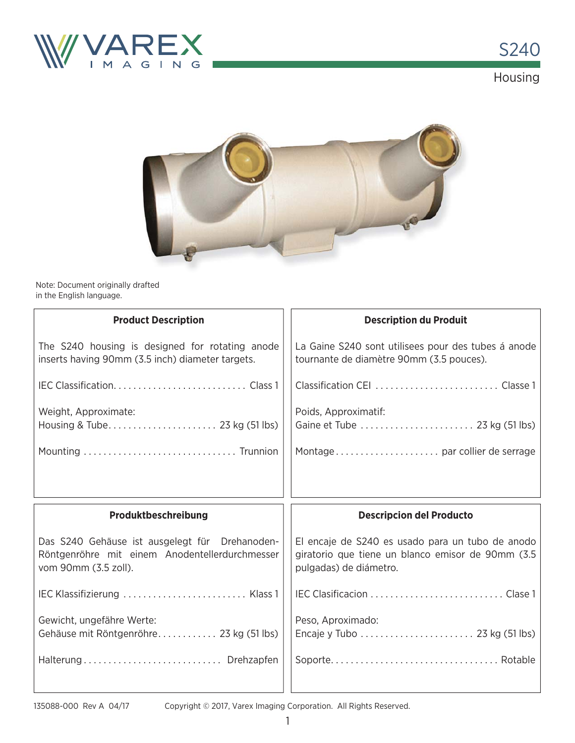



Note: Document originally drafted in the English language.

| <b>Product Description</b>                                                                                               | <b>Description du Produit</b>                                                                                                   |
|--------------------------------------------------------------------------------------------------------------------------|---------------------------------------------------------------------------------------------------------------------------------|
| The S240 housing is designed for rotating anode<br>inserts having 90mm (3.5 inch) diameter targets.                      | La Gaine S240 sont utilisees pour des tubes á anode<br>tournante de diamètre 90mm (3.5 pouces).                                 |
|                                                                                                                          |                                                                                                                                 |
| Weight, Approximate:                                                                                                     | Poids, Approximatif:                                                                                                            |
|                                                                                                                          |                                                                                                                                 |
|                                                                                                                          |                                                                                                                                 |
|                                                                                                                          |                                                                                                                                 |
| Produktbeschreibung                                                                                                      | <b>Descripcion del Producto</b>                                                                                                 |
| Das S240 Gehäuse ist ausgelegt für Drehanoden-<br>Röntgenröhre mit einem Anodentellerdurchmesser<br>vom 90mm (3.5 zoll). | El encaje de S240 es usado para un tubo de anodo<br>giratorio que tiene un blanco emisor de 90mm (3.5<br>pulgadas) de diámetro. |
| IEC Klassifizierung  Klass 1                                                                                             |                                                                                                                                 |
| Gewicht, ungefähre Werte:<br>Gehäuse mit Röntgenröhre 23 kg (51 lbs)                                                     | Peso, Aproximado:                                                                                                               |
| Halterung Drehzapfen                                                                                                     |                                                                                                                                 |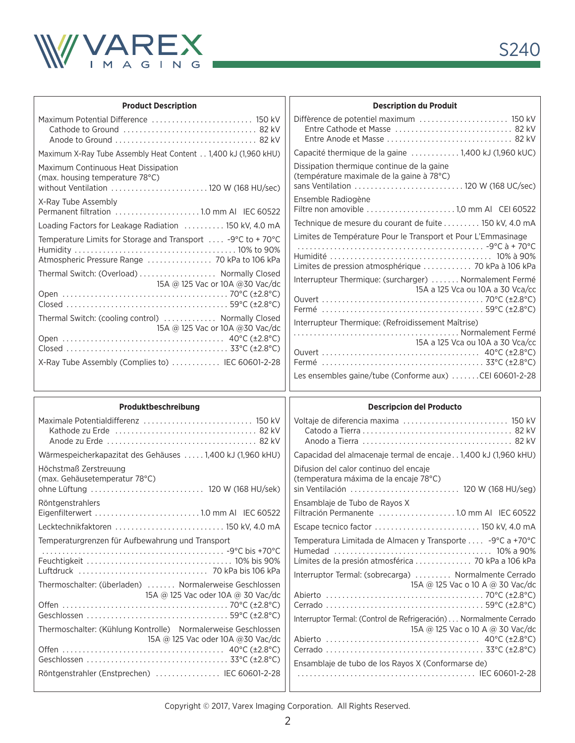

| <b>Product Description</b>                                                                                                                                  | <b>Description du Produit</b>                                                                                                   |
|-------------------------------------------------------------------------------------------------------------------------------------------------------------|---------------------------------------------------------------------------------------------------------------------------------|
|                                                                                                                                                             |                                                                                                                                 |
| Maximum X-Ray Tube Assembly Heat Content 1,400 kJ (1,960 kHU)                                                                                               | Capacité thermique de la gaine 1,400 kJ (1,960 kUC)                                                                             |
| Maximum Continuous Heat Dissipation<br>(max. housing temperature 78°C)<br>without Ventilation  120 W (168 HU/sec)                                           | Dissipation thermique continue de la gaine<br>(température maximale de la gaine à 78°C)<br>sans Ventilation  120 W (168 UC/sec) |
| X-Ray Tube Assembly<br>Permanent filtration 1.0 mm Al IEC 60522                                                                                             | Ensemble Radiogène                                                                                                              |
| Loading Factors for Leakage Radiation  150 kV, 4.0 mA                                                                                                       | Technique de mesure du courant de fuite 150 kV, 4.0 mA                                                                          |
| Temperature Limits for Storage and Transport  -9°C to +70°C<br>Atmospheric Pressure Range  70 kPa to 106 kPa<br>Thermal Switch: (Overload)  Normally Closed | Limites de Température Pour le Transport et Pour L'Emmasinage<br>Limites de pression atmosphérique  70 kPa à 106 kPa            |
| 15A @ 125 Vac or 10A @ 30 Vac/dc                                                                                                                            | Interrupteur Thermique: (surcharger)  Normalement Fermé<br>15A a 125 Vca ou 10A a 30 Vca/cc                                     |
| Thermal Switch: (cooling control)  Normally Closed<br>15A @ 125 Vac or 10A @ 30 Vac/dc                                                                      | Interrupteur Thermique: (Refroidissement Maîtrise)                                                                              |
|                                                                                                                                                             | 15A a 125 Vca ou 10A a 30 Vca/cc                                                                                                |
| X-Ray Tube Assembly (Complies to)  IEC 60601-2-28                                                                                                           |                                                                                                                                 |
|                                                                                                                                                             | Les ensembles gaine/tube (Conforme aux) CEI 60601-2-28                                                                          |
|                                                                                                                                                             |                                                                                                                                 |
| Produktbeschreibung                                                                                                                                         | <b>Descripcion del Producto</b>                                                                                                 |
|                                                                                                                                                             | Voltaje de diferencia maxima  150 kV                                                                                            |
| Wärmespeicherkapazitat des Gehäuses  1,400 kJ (1,960 kHU)                                                                                                   | Capacidad del almacenaje termal de encaje1,400 kJ (1,960 kHU)                                                                   |
| Höchstmaß Zerstreuung<br>(max. Gehäusetemperatur 78°C)                                                                                                      | Difusion del calor continuo del encaje<br>(temperatura máxima de la encaje 78°C)<br>sin Ventilación  120 W (168 HU/seg)         |
| Röntgenstrahlers                                                                                                                                            | Ensamblaje de Tubo de Rayos X<br>Filtración Permanente 1.0 mm Al IEC 60522                                                      |
| Lecktechnikfaktoren  150 kV, 4.0 mA                                                                                                                         | Escape tecnico factor  150 kV, 4.0 mA                                                                                           |
| Temperaturgrenzen für Aufbewahrung und Transport                                                                                                            | Temperatura Limitada de Almacen y Transporte  -9°C a +70°C                                                                      |
|                                                                                                                                                             | Límites de la presión atmosférica  70 kPa a 106 kPa                                                                             |
| Thermoschalter: (überladen)  Normalerweise Geschlossen                                                                                                      | Interruptor Termal: (sobrecarga)  Normalmente Cerrado<br>15A @ 125 Vac o 10 A @ 30 Vac/dc                                       |
| 15A @ 125 Vac oder 10A @ 30 Vac/dc                                                                                                                          |                                                                                                                                 |
| Thermoschalter: (Kühlung Kontrolle) Normalerweise Geschlossen<br>15A @ 125 Vac oder 10A @ 30 Vac/dc                                                         | Interruptor Termal: (Control de Refrigeración) Normalmente Cerrado<br>15A @ 125 Vac o 10 A @ 30 Vac/dc                          |
| Röntgenstrahler (Enstprechen)  IEC 60601-2-28                                                                                                               | Ensamblaje de tubo de los Rayos X (Conformarse de)                                                                              |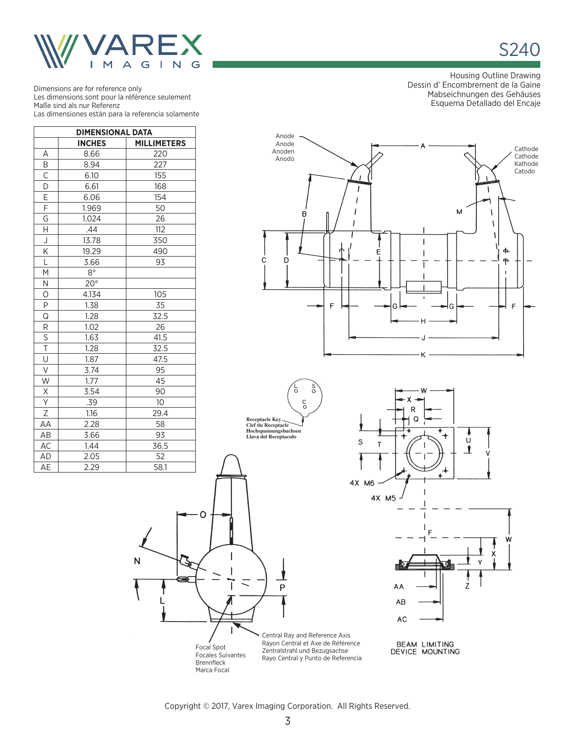

S240

Dimensions are for reference only Les dimensions sont pour la référence seulement Maße sind als nur Referenz Las dimensiones están para la referencia solamente

| <b>DIMENSIONAL DATA</b> |               |                    |  |  |  |  |  |
|-------------------------|---------------|--------------------|--|--|--|--|--|
|                         | <b>INCHES</b> | <b>MILLIMETERS</b> |  |  |  |  |  |
| Α                       | 8.66          | 220                |  |  |  |  |  |
| Β                       | 8.94          | 227                |  |  |  |  |  |
| $\overline{\mathsf{C}}$ | 6.10          | 155                |  |  |  |  |  |
| $\overline{D}$          | 6.61          | 168                |  |  |  |  |  |
| $\frac{E}{F}$           | 6.06          | 154                |  |  |  |  |  |
|                         | 1.969         | 50                 |  |  |  |  |  |
| G                       | 1.024         | 26                 |  |  |  |  |  |
| Н                       | .44           | 112                |  |  |  |  |  |
| $\bigcup$               | 13.78         | 350                |  |  |  |  |  |
| Κ                       | 19.29         | 490                |  |  |  |  |  |
| L                       | 3.66          | 93                 |  |  |  |  |  |
| Μ                       | $8^{\circ}$   |                    |  |  |  |  |  |
| N                       | $20^\circ$    |                    |  |  |  |  |  |
| O                       | 4.134         | 105                |  |  |  |  |  |
| $\overline{P}$          | 1.38          | 35                 |  |  |  |  |  |
| Q                       | 1.28          | 32.5               |  |  |  |  |  |
| R                       | 1.02          | 26                 |  |  |  |  |  |
| $\overline{\mathsf{S}}$ | 1.63          | 41.5               |  |  |  |  |  |
| $\overline{\mathsf{T}}$ | 1.28          | 32.5               |  |  |  |  |  |
| $\overline{\mathsf{U}}$ | 1.87          | 47.5               |  |  |  |  |  |
| V                       | 3.74          | 95                 |  |  |  |  |  |
| W                       | 1.77          | 45                 |  |  |  |  |  |
| $\underline{X}$         | 3.54          | 90                 |  |  |  |  |  |
| $\overline{Y}$          | .39           | 10                 |  |  |  |  |  |
| $\overline{Z}$          | 1.16          | 29.4               |  |  |  |  |  |
| AA                      | 2.28          | 58                 |  |  |  |  |  |
| AB                      | 3.66          | 93                 |  |  |  |  |  |
| AC                      | 1.44          | 36.5               |  |  |  |  |  |
| AD                      | 2.05          | 52                 |  |  |  |  |  |
| AE                      | 2.29          | 58.1               |  |  |  |  |  |

N

Housing Outline Drawing Dessin d' Encombrement de la Gaine Mabseichnungen des Gehäuses Esquema Detallado del Encaje









Marca Focal



BEAM LIMITING<br>DEVICE MOUNTING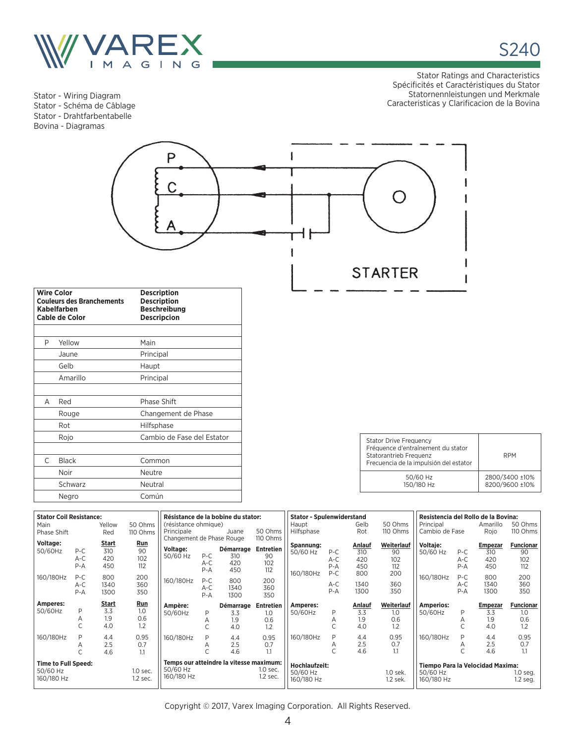

Stator - Wiring Diagram Stator - Schéma de Câblage Stator - Drahtfarbentabelle Bovina - Diagramas

Stator Ratings and Characteristics Spécificités et Caractéristiques du Stator Statornennleistungen und Merkmale Caracteristicas y Clarificacion de la Bovina

ł

S240



|   | <b>Wire Color</b><br><b>Couleurs des Branchements</b><br><b>Kabelfarben</b><br><b>Cable de Color</b> | <b>Description</b><br><b>Description</b><br><b>Beschreibung</b><br><b>Descripcion</b> |  |  |  |
|---|------------------------------------------------------------------------------------------------------|---------------------------------------------------------------------------------------|--|--|--|
|   |                                                                                                      |                                                                                       |  |  |  |
| P | Yellow                                                                                               | Main                                                                                  |  |  |  |
|   | Jaune                                                                                                | Principal                                                                             |  |  |  |
|   | Gelb                                                                                                 | Haupt                                                                                 |  |  |  |
|   | Amarillo                                                                                             | Principal                                                                             |  |  |  |
|   |                                                                                                      |                                                                                       |  |  |  |
| А | Red                                                                                                  | Phase Shift                                                                           |  |  |  |
|   | Rouge                                                                                                | Changement de Phase                                                                   |  |  |  |
|   | Rot                                                                                                  | <b>Hilfsphase</b>                                                                     |  |  |  |
|   | Rojo                                                                                                 | Cambio de Fase del Estator                                                            |  |  |  |
|   |                                                                                                      |                                                                                       |  |  |  |
| C | <b>Black</b>                                                                                         | Common                                                                                |  |  |  |
|   | Noir                                                                                                 | Neutre                                                                                |  |  |  |
|   | Schwarz                                                                                              | Neutral                                                                               |  |  |  |
|   | Negro                                                                                                | Común                                                                                 |  |  |  |

| <b>Stator Drive Frequency</b><br>Fréquence d'entraînement du stator<br>Statorantrieb Frequenz<br>Frecuencia de la impulsión del estator | <b>RPM</b>                       |
|-----------------------------------------------------------------------------------------------------------------------------------------|----------------------------------|
| 50/60 Hz<br>150/180 Hz                                                                                                                  | 2800/3400 ±10%<br>8200/9600 ±10% |

| <b>Stator Coil Resistance:</b><br>Résistance de la bobine du stator: |         |              |          |                           | <b>Stator - Spulenwiderstand</b> |                                         |                  |                      | Resistencia del Rollo de la Bovina: |        |            |                                  |         |                |                  |
|----------------------------------------------------------------------|---------|--------------|----------|---------------------------|----------------------------------|-----------------------------------------|------------------|----------------------|-------------------------------------|--------|------------|----------------------------------|---------|----------------|------------------|
| Main                                                                 |         | Yellow       | 50 Ohms  | (résistance ohmique)      |                                  |                                         |                  | Haupt                |                                     | Gelb   | 50 Ohms    | Principal                        |         | Amarillo       | 50 Ohms          |
| Phase Shift                                                          |         | Red          | 110 Ohms | Principale                |                                  | Juane                                   | 50 Ohms          | Hilfsphase           |                                     | Rot    | 110 Ohms   | Cambio de Fase                   |         | Rojo           | 110 Ohms         |
|                                                                      |         |              |          | Changement de Phase Rouge |                                  |                                         | 110 Ohms         |                      |                                     |        |            |                                  |         |                |                  |
| Voltage:                                                             |         | <b>Start</b> | Run      |                           |                                  |                                         |                  | Spannung:            |                                     | Anlauf | Weiterlauf | Voltaje:                         |         | <b>Empezar</b> | <b>Funcionar</b> |
| 50/60Hz                                                              | $P-C$   | 310          | 90       | Voltage:                  |                                  | Démarrage                               | Entretien        | 50/60 Hz             | $P-C$                               | 310    | 90         | 50/60 Hz                         | $P-C$   | 310            | 90               |
|                                                                      | $A-C$   | 420          | 102      | 50/60 Hz                  | $P-C$                            | 310                                     | 90               |                      | $A-C$                               | 420    | 102        |                                  | $A-C$   | 420            | 102              |
|                                                                      | $P - A$ | 450          | 112      |                           | $A-C$                            | 420                                     | 102              |                      | $P - A$                             | 450    | 112        |                                  | $P-A$   | 450            | 112              |
|                                                                      |         |              |          |                           | $P - A$                          | 450                                     | 112              |                      |                                     |        |            |                                  |         |                |                  |
| 160/180Hz                                                            | $P-C$   | 800          | 200      |                           |                                  |                                         |                  | 160/180Hz            | $P-C$                               | 800    | 200        | 160/180Hz                        | $P-C$   | 800            | 200              |
|                                                                      | $A-C$   | 1340         | 360      | 160/180Hz                 | $P-C$                            | 800                                     | 200              |                      | $A-C$                               | 1340   | 360        |                                  | $A-C$   | 1340           | 360              |
|                                                                      | $P - A$ | 1300         | 350      |                           | $A-C$                            | 1340                                    | 360              |                      | $P - A$                             | 1300   | 350        |                                  | $P - A$ | 1300           | 350              |
|                                                                      |         |              |          |                           | $P - A$                          | 1300                                    | 350              |                      |                                     |        |            |                                  |         |                |                  |
|                                                                      |         |              |          |                           |                                  |                                         |                  |                      |                                     |        |            |                                  |         |                |                  |
| Amperes:                                                             |         | Start        | Run      |                           |                                  |                                         |                  |                      |                                     |        |            |                                  |         |                |                  |
|                                                                      | P       |              |          | Ampère:                   |                                  | Démarrage                               | <b>Entretien</b> | Amperes:             |                                     | Anlauf | Weiterlauf | <b>Amperios:</b>                 |         | <b>Empezar</b> | <b>Funcionar</b> |
| 50/60Hz                                                              |         | 3.3          | 1.0      | 50/60Hz                   | P                                | 3.3                                     | 1.0              | 50/60Hz              | P                                   | 3.3    | 1.0        | 50/60Hz                          | P       | 3.3            | 1.0              |
|                                                                      | Α       | 1.9          | 0.6      |                           | А                                | 1.9                                     | 0.6              |                      | Α                                   | 1.9    | 0.6        |                                  |         | 1.9            | 0.6              |
|                                                                      |         | 4.0          | 1.2      |                           |                                  | 4.0                                     | 1.2              |                      |                                     | 4.0    | 1.2        |                                  |         | 4.0            | 1.2              |
|                                                                      | P       |              |          |                           |                                  |                                         |                  |                      |                                     |        |            |                                  | P       |                |                  |
| 160/180Hz                                                            |         | 4.4          | 0.95     | 160/180Hz                 | P                                | 4.4                                     | 0.95             | 160/180Hz            | P                                   | 4.4    | 0.95       | 160/180Hz                        |         | 4.4            | 0.95             |
|                                                                      | Α       | 2.5          | 0.7      |                           |                                  | 2.5                                     | 0.7              |                      | Α                                   | 2.5    | 0.7        |                                  | Α       | 2.5            | 0.7              |
|                                                                      |         | 4.6          | 1.1      |                           |                                  | 4.6                                     | $1.1\,$          |                      |                                     | 4.6    | 1.1        |                                  |         | 4.6            | 1.1              |
|                                                                      |         |              |          |                           |                                  | Temps our atteindre la vitesse maximum: |                  |                      |                                     |        |            |                                  |         |                |                  |
| <b>Time to Full Speed:</b>                                           |         |              |          | 50/60 Hz                  |                                  |                                         | 1.0 sec.         | <b>Hochlaufzeit:</b> |                                     |        |            | Tiempo Para la Velocidad Maxima: |         |                |                  |
| 50/60 Hz                                                             |         |              | 1.0 sec. |                           |                                  |                                         |                  | 50/60 Hz             |                                     |        | 1.0 sek.   | 50/60 Hz                         |         |                | $1.0$ seg.       |
| 160/180 Hz                                                           |         |              | 1.2 sec. | 160/180 Hz                |                                  |                                         | $1.2$ sec.       | 160/180 Hz           |                                     |        | 1.2 sek.   | 160/180 Hz                       |         |                | 1.2 seg.         |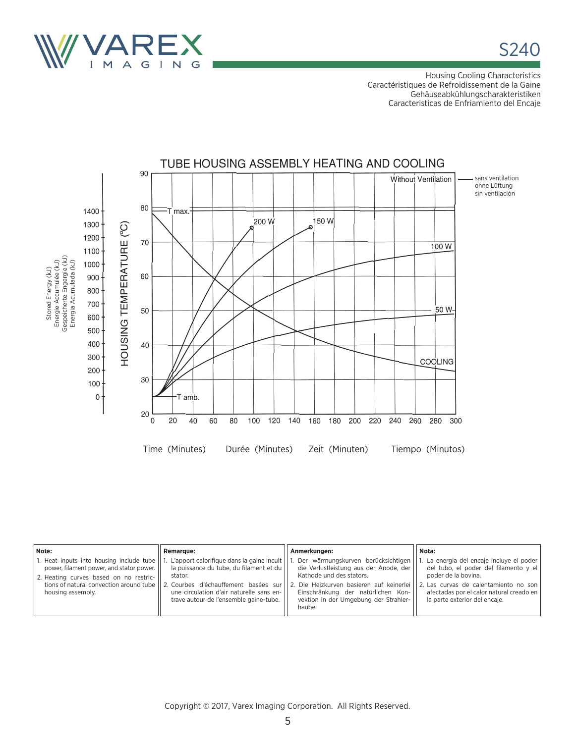

Housing Cooling Characteristics Caractéristiques de Refroidissement de la Gaine Gehäuseabkühlungscharakteristiken Caracteristicas de Enfriamiento del Encaje



| Note:                                                                                                                                                                                            | <b>Remarque:</b>                                                                                                                                                                                                                | Anmerkungen:                                                                                                                                                                                                                                  | Nota:                                                                                                                                                                                                                               |
|--------------------------------------------------------------------------------------------------------------------------------------------------------------------------------------------------|---------------------------------------------------------------------------------------------------------------------------------------------------------------------------------------------------------------------------------|-----------------------------------------------------------------------------------------------------------------------------------------------------------------------------------------------------------------------------------------------|-------------------------------------------------------------------------------------------------------------------------------------------------------------------------------------------------------------------------------------|
| 1. Heat inputs into housing include tube<br>power, filament power, and stator power.<br>2. Heating curves based on no restric-<br>tions of natural convection around tube I<br>housing assembly. | L'apport calorifique dans la gaine incult  <br>la puissance du tube, du filament et du<br>stator.<br>2. Courbes d'échauffement basées sur<br>une circulation d'air naturelle sans en-<br>trave autour de l'ensemble gaine-tube. | Der wärmungskurven berücksichtigen<br>die Verlustleistung aus der Anode, der<br>Kathode und des stators.<br>2. Die Heizkurven basieren auf keinerlei<br>Einschränkung der natürlichen Kon-<br>vektion in der Umgebung der Strahler-<br>haube. | 1. La energia del encaje incluye el poder  <br>del tubo, el poder del filamento y el<br>poder de la bovina.<br>2. Las curvas de calentamiento no son<br>afectadas por el calor natural creado en  <br>la parte exterior del encaie. |